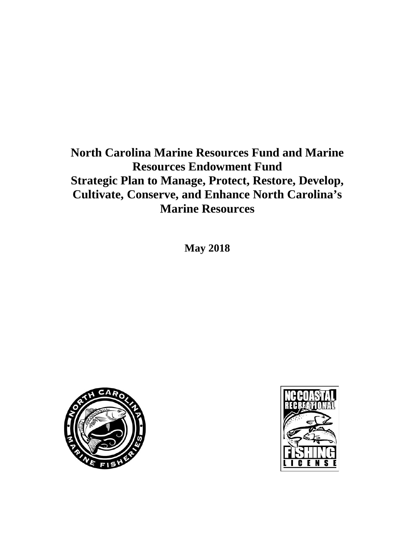# **North Carolina Marine Resources Fund and Marine Resources Endowment Fund Strategic Plan to Manage, Protect, Restore, Develop, Cultivate, Conserve, and Enhance North Carolina's Marine Resources**

**May 2018**



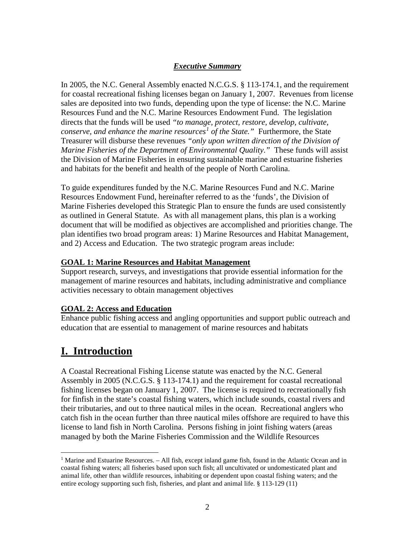### *Executive Summary*

In 2005, the N.C. General Assembly enacted N.C.G.S. § 113-174.1, and the requirement for coastal recreational fishing licenses began on January 1, 2007. Revenues from license sales are deposited into two funds, depending upon the type of license: the N.C. Marine Resources Fund and the N.C. Marine Resources Endowment Fund. The legislation directs that the funds will be used *"to manage, protect, restore, develop, cultivate, conserve, and enhance the marine resources[1](#page-1-0) of the State."* Furthermore, the State Treasurer will disburse these revenues *"only upon written direction of the Division of Marine Fisheries of the Department of Environmental Quality*.*"* These funds will assist the Division of Marine Fisheries in ensuring sustainable marine and estuarine fisheries and habitats for the benefit and health of the people of North Carolina.

To guide expenditures funded by the N.C. Marine Resources Fund and N.C. Marine Resources Endowment Fund, hereinafter referred to as the 'funds', the Division of Marine Fisheries developed this Strategic Plan to ensure the funds are used consistently as outlined in General Statute. As with all management plans, this plan is a working document that will be modified as objectives are accomplished and priorities change. The plan identifies two broad program areas: 1) Marine Resources and Habitat Management, and 2) Access and Education. The two strategic program areas include:

### **GOAL 1: Marine Resources and Habitat Management**

Support research, surveys, and investigations that provide essential information for the management of marine resources and habitats, including administrative and compliance activities necessary to obtain management objectives

### **GOAL 2: Access and Education**

Enhance public fishing access and angling opportunities and support public outreach and education that are essential to management of marine resources and habitats

# **I. Introduction**

A Coastal Recreational Fishing License statute was enacted by the N.C. General Assembly in 2005 (N.C.G.S. § 113-174.1) and the requirement for coastal recreational fishing licenses began on January 1, 2007. The license is required to recreationally fish for finfish in the state's coastal fishing waters, which include sounds, coastal rivers and their tributaries, and out to three nautical miles in the ocean. Recreational anglers who catch fish in the ocean further than three nautical miles offshore are required to have this license to land fish in North Carolina. Persons fishing in joint fishing waters (areas managed by both the Marine Fisheries Commission and the Wildlife Resources

<span id="page-1-0"></span><sup>&</sup>lt;sup>1</sup> Marine and Estuarine Resources.  $-$  All fish, except inland game fish, found in the Atlantic Ocean and in coastal fishing waters; all fisheries based upon such fish; all uncultivated or undomesticated plant and animal life, other than wildlife resources, inhabiting or dependent upon coastal fishing waters; and the entire ecology supporting such fish, fisheries, and plant and animal life. § 113-129 (11)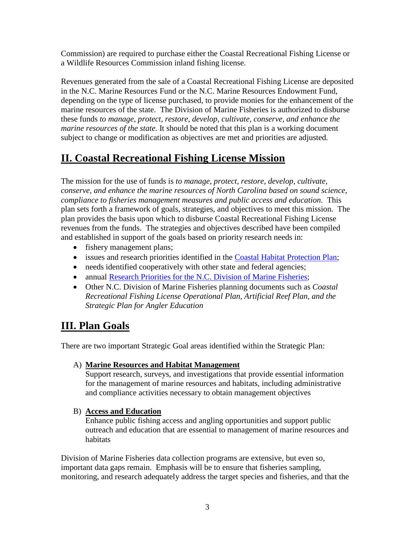Commission) are required to purchase either the Coastal Recreational Fishing License or a Wildlife Resources Commission inland fishing license.

Revenues generated from the sale of a Coastal Recreational Fishing License are deposited in the N.C. Marine Resources Fund or the N.C. Marine Resources Endowment Fund, depending on the type of license purchased, to provide monies for the enhancement of the marine resources of the state. The Division of Marine Fisheries is authorized to disburse these funds *to manage, protect, restore, develop, cultivate, conserve, and enhance the marine resources of the state.* It should be noted that this plan is a working document subject to change or modification as objectives are met and priorities are adjusted.

# **II. Coastal Recreational Fishing License Mission**

The mission for the use of funds is *to manage, protect, restore, develop, cultivate, conserve, and enhance the marine resources of North Carolina based on sound science, compliance to fisheries management measures and public access and education.* This plan sets forth a framework of goals, strategies, and objectives to meet this mission. The plan provides the basis upon which to disburse Coastal Recreational Fishing License revenues from the funds. The strategies and objectives described have been compiled and established in support of the goals based on priority research needs in:

- fishery management plans;
- issues and research priorities identified in the [Coastal Habitat Protection Plan;](http://portal.ncdenr.org/c/document_library/get_file?uuid=68734102-5af8-462a-8562-734562dc965f&groupId=38337)
- needs identified cooperatively with other state and federal agencies;
- annual [Research Priorities for the N.C. Division of Marine Fisheries;](http://portal.ncdenr.org/c/document_library/get_file?p_l_id=1169848&folderId=16293086&name=DLFE-136500.pdf)
- Other N.C. Division of Marine Fisheries planning documents such as *Coastal Recreational Fishing License Operational Plan, Artificial Reef Plan, and the Strategic Plan for Angler Education*

# **III. Plan Goals**

There are two important Strategic Goal areas identified within the Strategic Plan:

## A) **Marine Resources and Habitat Management**

Support research, surveys, and investigations that provide essential information for the management of marine resources and habitats, including administrative and compliance activities necessary to obtain management objectives

## B) **Access and Education**

Enhance public fishing access and angling opportunities and support public outreach and education that are essential to management of marine resources and habitats

Division of Marine Fisheries data collection programs are extensive, but even so, important data gaps remain. Emphasis will be to ensure that fisheries sampling, monitoring, and research adequately address the target species and fisheries, and that the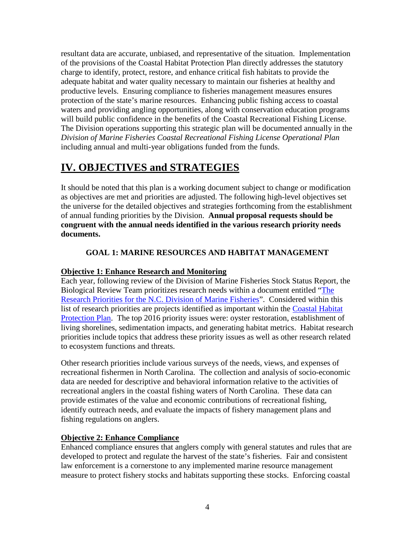resultant data are accurate, unbiased, and representative of the situation. Implementation of the provisions of the Coastal Habitat Protection Plan directly addresses the statutory charge to identify, protect, restore, and enhance critical fish habitats to provide the adequate habitat and water quality necessary to maintain our fisheries at healthy and productive levels. Ensuring compliance to fisheries management measures ensures protection of the state's marine resources. Enhancing public fishing access to coastal waters and providing angling opportunities, along with conservation education programs will build public confidence in the benefits of the Coastal Recreational Fishing License. The Division operations supporting this strategic plan will be documented annually in the *Division of Marine Fisheries Coastal Recreational Fishing License Operational Plan* including annual and multi-year obligations funded from the funds.

# **IV. OBJECTIVES and STRATEGIES**

It should be noted that this plan is a working document subject to change or modification as objectives are met and priorities are adjusted. The following high-level objectives set the universe for the detailed objectives and strategies forthcoming from the establishment of annual funding priorities by the Division. **Annual proposal requests should be congruent with the annual needs identified in the various research priority needs documents.**

## **GOAL 1: MARINE RESOURCES AND HABITAT MANAGEMENT**

### **Objective 1: Enhance Research and Monitoring**

Each year, following review of the Division of Marine Fisheries Stock Status Report, the Biological Review Team prioritizes research needs within a document entitled "The [Research Priorities for the N.C. Division of Marine Fisheries"](http://portal.ncdenr.org/c/document_library/get_file?p_l_id=1169848&folderId=16293086&name=DLFE-136500.pdf). Considered within this list of research priorities are projects identified as important within the [Coastal Habitat](http://portal.ncdenr.org/c/document_library/get_file?uuid=68734102-5af8-462a-8562-734562dc965f&groupId=38337)  [Protection Plan.](http://portal.ncdenr.org/c/document_library/get_file?uuid=68734102-5af8-462a-8562-734562dc965f&groupId=38337) The top 2016 priority issues were: oyster restoration, establishment of living shorelines, sedimentation impacts, and generating habitat metrics. Habitat research priorities include topics that address these priority issues as well as other research related to ecosystem functions and threats.

Other research priorities include various surveys of the needs, views, and expenses of recreational fishermen in North Carolina. The collection and analysis of socio-economic data are needed for descriptive and behavioral information relative to the activities of recreational anglers in the coastal fishing waters of North Carolina. These data can provide estimates of the value and economic contributions of recreational fishing, identify outreach needs, and evaluate the impacts of fishery management plans and fishing regulations on anglers.

### **Objective 2: Enhance Compliance**

Enhanced compliance ensures that anglers comply with general statutes and rules that are developed to protect and regulate the harvest of the state's fisheries. Fair and consistent law enforcement is a cornerstone to any implemented marine resource management measure to protect fishery stocks and habitats supporting these stocks. Enforcing coastal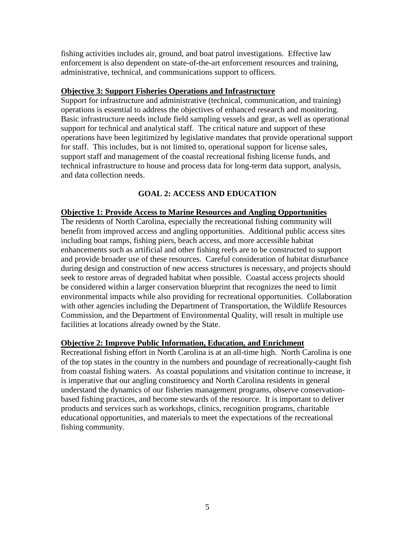fishing activities includes air, ground, and boat patrol investigations. Effective law enforcement is also dependent on state-of-the-art enforcement resources and training, administrative, technical, and communications support to officers.

#### **Objective 3: Support Fisheries Operations and Infrastructure**

Support for infrastructure and administrative (technical, communication, and training) operations is essential to address the objectives of enhanced research and monitoring. Basic infrastructure needs include field sampling vessels and gear, as well as operational support for technical and analytical staff. The critical nature and support of these operations have been legitimized by legislative mandates that provide operational support for staff. This includes, but is not limited to, operational support for license sales, support staff and management of the coastal recreational fishing license funds, and technical infrastructure to house and process data for long-term data support, analysis, and data collection needs.

### **GOAL 2: ACCESS AND EDUCATION**

#### **Objective 1: Provide Access to Marine Resources and Angling Opportunities**

The residents of North Carolina, especially the recreational fishing community will benefit from improved access and angling opportunities. Additional public access sites including boat ramps, fishing piers, beach access, and more accessible habitat enhancements such as artificial and other fishing reefs are to be constructed to support and provide broader use of these resources. Careful consideration of habitat disturbance during design and construction of new access structures is necessary, and projects should seek to restore areas of degraded habitat when possible. Coastal access projects should be considered within a larger conservation blueprint that recognizes the need to limit environmental impacts while also providing for recreational opportunities. Collaboration with other agencies including the Department of Transportation, the Wildlife Resources Commission, and the Department of Environmental Quality, will result in multiple use facilities at locations already owned by the State.

### **Objective 2: Improve Public Information, Education, and Enrichment**

Recreational fishing effort in North Carolina is at an all-time high. North Carolina is one of the top states in the country in the numbers and poundage of recreationally-caught fish from coastal fishing waters. As coastal populations and visitation continue to increase, it is imperative that our angling constituency and North Carolina residents in general understand the dynamics of our fisheries management programs, observe conservationbased fishing practices, and become stewards of the resource. It is important to deliver products and services such as workshops, clinics, recognition programs, charitable educational opportunities, and materials to meet the expectations of the recreational fishing community.